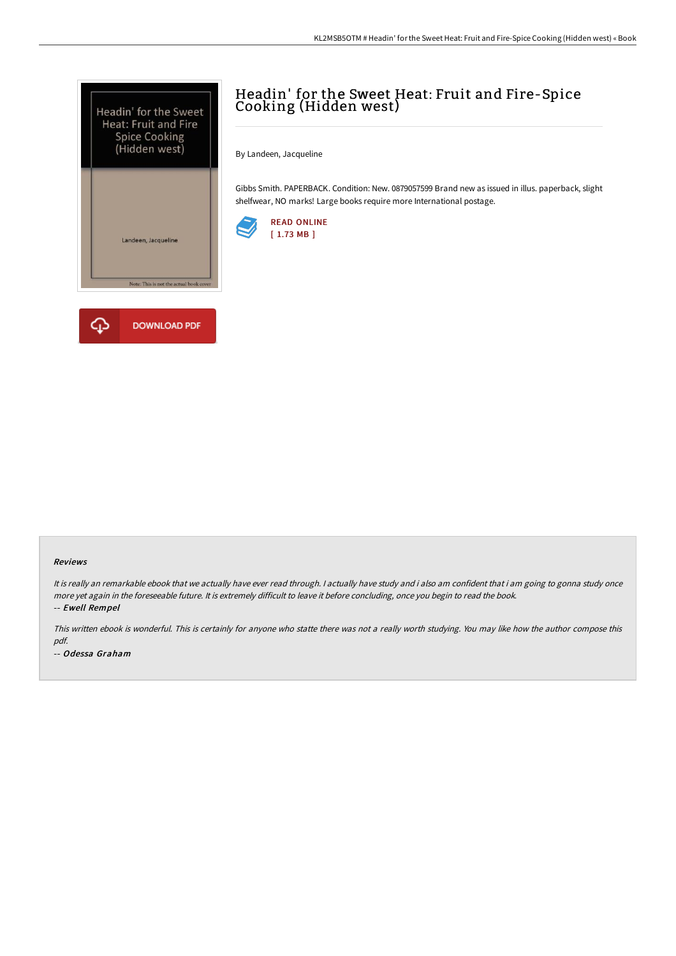



# Headin' for the Sweet Heat: Fruit and Fire-Spice Cooking (Hidden west)

By Landeen, Jacqueline

Gibbs Smith. PAPERBACK. Condition: New. 0879057599 Brand new as issued in illus. paperback, slight shelfwear, NO marks! Large books require more International postage.



#### Reviews

It is really an remarkable ebook that we actually have ever read through. <sup>I</sup> actually have study and i also am confident that i am going to gonna study once more yet again in the foreseeable future. It is extremely difficult to leave it before concluding, once you begin to read the book. -- Ewell Rempel

This written ebook is wonderful. This is certainly for anyone who statte there was not <sup>a</sup> really worth studying. You may like how the author compose this pdf.

-- Odessa Graham